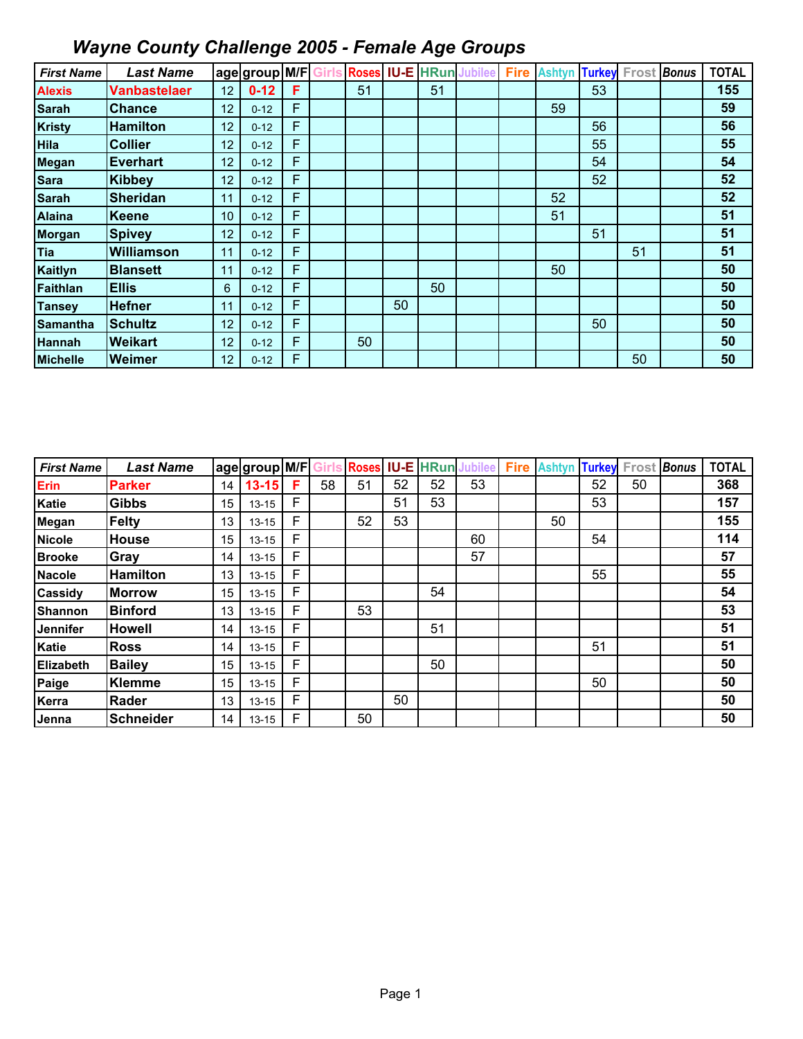| <b>First Name</b> | <b>Last Name</b>  |    | age group M/F |    | Girl |    |    |    | <b>Roses IU-E HRun Jubilee</b> | <b>Fire</b> | <b>Ashtyn</b> |    | Turkey Frost Bonus | <b>TOTAL</b> |
|-------------------|-------------------|----|---------------|----|------|----|----|----|--------------------------------|-------------|---------------|----|--------------------|--------------|
| <b>Alexis</b>     | Vanbastelaer      | 12 | $0 - 12$      | F. |      | 51 |    | 51 |                                |             |               | 53 |                    | 155          |
| <b>Sarah</b>      | <b>Chance</b>     | 12 | $0 - 12$      | F  |      |    |    |    |                                |             | 59            |    |                    | 59           |
| <b>Kristy</b>     | <b>Hamilton</b>   | 12 | $0 - 12$      | F  |      |    |    |    |                                |             |               | 56 |                    | 56           |
| Hila              | <b>Collier</b>    | 12 | $0 - 12$      | F  |      |    |    |    |                                |             |               | 55 |                    | 55           |
| Megan             | <b>Everhart</b>   | 12 | $0 - 12$      | F  |      |    |    |    |                                |             |               | 54 |                    | 54           |
| <b>Sara</b>       | <b>Kibbey</b>     | 12 | $0 - 12$      | F  |      |    |    |    |                                |             |               | 52 |                    | 52           |
| <b>Sarah</b>      | <b>Sheridan</b>   | 11 | $0 - 12$      | F  |      |    |    |    |                                |             | 52            |    |                    | 52           |
| <b>Alaina</b>     | <b>Keene</b>      | 10 | $0 - 12$      | F  |      |    |    |    |                                |             | 51            |    |                    | 51           |
| <b>Morgan</b>     | <b>Spivey</b>     | 12 | $0 - 12$      | F  |      |    |    |    |                                |             |               | 51 |                    | 51           |
| Tia               | <b>Williamson</b> | 11 | $0 - 12$      | F  |      |    |    |    |                                |             |               |    | 51                 | 51           |
| <b>Kaitlyn</b>    | <b>Blansett</b>   | 11 | $0 - 12$      | F  |      |    |    |    |                                |             | 50            |    |                    | 50           |
| <b>Faithlan</b>   | <b>Ellis</b>      | 6  | $0 - 12$      | F  |      |    |    | 50 |                                |             |               |    |                    | 50           |
| <b>Tansey</b>     | <b>Hefner</b>     | 11 | $0 - 12$      | F  |      |    | 50 |    |                                |             |               |    |                    | 50           |
| <b>Samantha</b>   | <b>Schultz</b>    | 12 | $0 - 12$      | F  |      |    |    |    |                                |             |               | 50 |                    | 50           |
| <b>Hannah</b>     | Weikart           | 12 | $0 - 12$      | F  |      | 50 |    |    |                                |             |               |    |                    | 50           |
| <b>Michelle</b>   | <b>Weimer</b>     | 12 | $0 - 12$      | F  |      |    |    |    |                                |             |               |    | 50                 | 50           |

| <b>First Name</b> | <b>Last Name</b> |                 | age group M/F Girls |   |    | <b>Roses</b> |    |    | <b>IU-E HRun Jubilee</b> | <b>Fire</b> | <b>Ashtyn</b> | <b>Turkey</b> | Frost Bonus | <b>TOTAL</b> |
|-------------------|------------------|-----------------|---------------------|---|----|--------------|----|----|--------------------------|-------------|---------------|---------------|-------------|--------------|
| <b>Erin</b>       | <b>Parker</b>    | 14 <sup>1</sup> | $13 - 15$           | F | 58 | 51           | 52 | 52 | 53                       |             |               | 52            | 50          | 368          |
| <b>Katie</b>      | <b>Gibbs</b>     | 15              | $13 - 15$           | F |    |              | 51 | 53 |                          |             |               | 53            |             | 157          |
| Megan             | <b>Felty</b>     | 13              | $13 - 15$           | F |    | 52           | 53 |    |                          |             | 50            |               |             | 155          |
| <b>Nicole</b>     | <b>House</b>     | 15              | $13 - 15$           | F |    |              |    |    | 60                       |             |               | 54            |             | 114          |
| <b>Brooke</b>     | Gray             | 14              | $13 - 15$           | F |    |              |    |    | 57                       |             |               |               |             | 57           |
| <b>Nacole</b>     | <b>Hamilton</b>  | 13              | $13 - 15$           | F |    |              |    |    |                          |             |               | 55            |             | 55           |
| Cassidy           | <b>Morrow</b>    | 15              | $13 - 15$           | F |    |              |    | 54 |                          |             |               |               |             | 54           |
| <b>Shannon</b>    | <b>Binford</b>   | 13              | $13 - 15$           | F |    | 53           |    |    |                          |             |               |               |             | 53           |
| <b>Jennifer</b>   | <b>Howell</b>    | 14              | $13 - 15$           | F |    |              |    | 51 |                          |             |               |               |             | 51           |
| <b>Katie</b>      | <b>Ross</b>      | 14              | $13 - 15$           | F |    |              |    |    |                          |             |               | 51            |             | 51           |
| Elizabeth         | <b>Bailey</b>    | 15              | $13 - 15$           | F |    |              |    | 50 |                          |             |               |               |             | 50           |
| Paige             | <b>Klemme</b>    | 15              | $13 - 15$           | F |    |              |    |    |                          |             |               | 50            |             | 50           |
| Kerra             | Rader            | 13              | $13 - 15$           | F |    |              | 50 |    |                          |             |               |               |             | 50           |
| Jenna             | <b>Schneider</b> | 14              | $13 - 15$           | F |    | 50           |    |    |                          |             |               |               |             | 50           |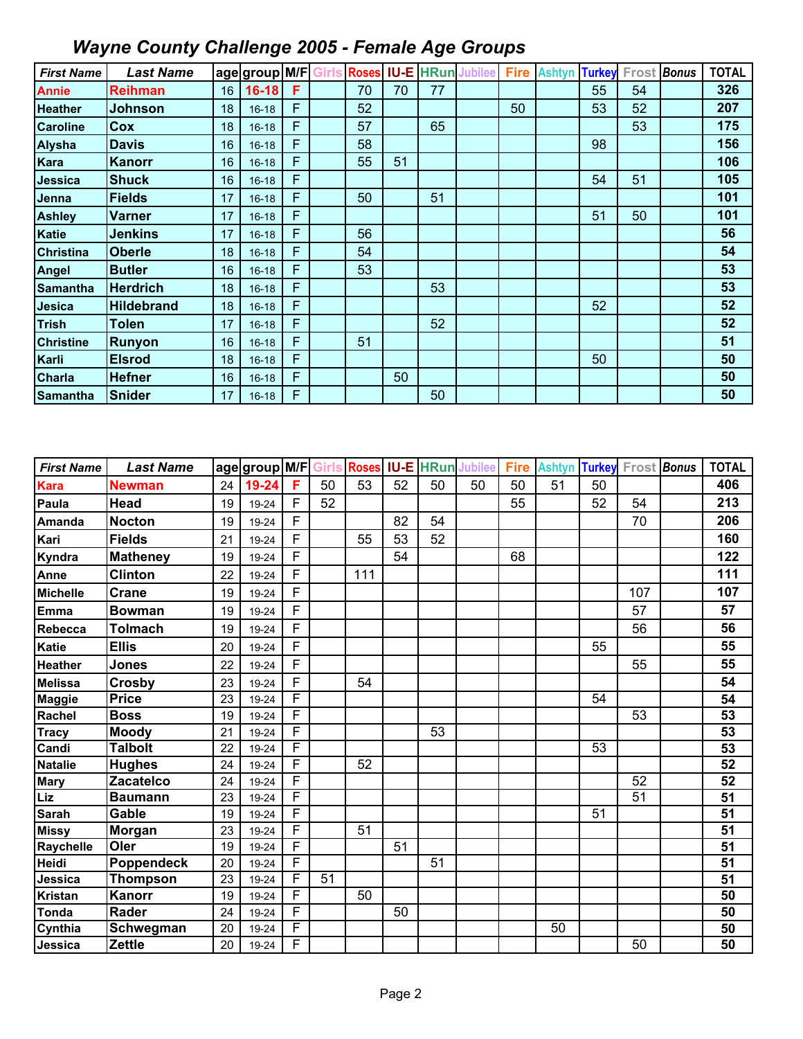|                       | <b>rrayile County Challenge 2000 - I emale Age Groups</b> |          |                           |                               |    |     |    |    |                                             |             |               |    |                           |              |
|-----------------------|-----------------------------------------------------------|----------|---------------------------|-------------------------------|----|-----|----|----|---------------------------------------------|-------------|---------------|----|---------------------------|--------------|
| <b>First Name</b>     | <b>Last Name</b>                                          |          | age group M/F Girls Roses |                               |    |     |    |    | <b>IU-E HRun Jubilee</b>                    | <b>Fire</b> | <b>Ashtyn</b> |    | <b>Turkey Frost Bonus</b> | <b>TOTAL</b> |
| <b>Annie</b>          | <b>Reihman</b>                                            | 16       | $16 - 18$                 | F                             |    | 70  | 70 | 77 |                                             |             |               | 55 | 54                        | 326          |
| <b>Heather</b>        | <b>Johnson</b>                                            | 18       | $16 - 18$                 | F                             |    | 52  |    |    |                                             | 50          |               | 53 | 52                        | 207          |
| <b>Caroline</b>       | Cox                                                       | 18       | $16 - 18$                 | F                             |    | 57  |    | 65 |                                             |             |               |    | 53                        | 175          |
| <b>Alysha</b>         | <b>Davis</b>                                              | 16       | $16 - 18$                 | F                             |    | 58  |    |    |                                             |             |               | 98 |                           | 156          |
| Kara                  | <b>Kanorr</b>                                             | 16       | $16 - 18$                 | F                             |    | 55  | 51 |    |                                             |             |               |    |                           | 106          |
| Jessica               | <b>Shuck</b>                                              | 16       | $16 - 18$                 | F                             |    |     |    |    |                                             |             |               | 54 | 51                        | 105          |
| Jenna                 | <b>Fields</b>                                             | 17       | $16 - 18$                 | F                             |    | 50  |    | 51 |                                             |             |               |    |                           | 101          |
| <b>Ashley</b>         | Varner                                                    | 17       | $16 - 18$                 | F                             |    |     |    |    |                                             |             |               | 51 | 50                        | 101          |
| <b>Katie</b>          | <b>Jenkins</b>                                            | 17       | $16 - 18$                 | F                             |    | 56  |    |    |                                             |             |               |    |                           | 56           |
| <b>Christina</b>      | <b>Oberle</b>                                             | 18       | $16 - 18$                 | F                             |    | 54  |    |    |                                             |             |               |    |                           | 54           |
| Angel                 | <b>Butler</b>                                             | 16       | $16 - 18$                 | F                             |    | 53  |    |    |                                             |             |               |    |                           | 53           |
| <b>Samantha</b>       | <b>Herdrich</b>                                           | 18       | $16 - 18$                 | F                             |    |     |    | 53 |                                             |             |               |    |                           | 53           |
| Jesica                | <b>Hildebrand</b>                                         | 18       | $16 - 18$                 | F                             |    |     |    |    |                                             |             |               | 52 |                           | 52           |
| <b>Trish</b>          | <b>Tolen</b>                                              | 17       | $16 - 18$                 | F                             |    |     |    | 52 |                                             |             |               |    |                           | 52           |
| <b>Christine</b>      | Runyon                                                    | 16       | $16 - 18$                 | F                             |    | 51  |    |    |                                             |             |               |    |                           | 51           |
| Karli                 | <b>Elsrod</b>                                             | 18       | $16 - 18$                 | F                             |    |     |    |    |                                             |             |               | 50 |                           | 50           |
| <b>Charla</b>         | <b>Hefner</b>                                             | 16       | $16 - 18$                 | F                             |    |     | 50 |    |                                             |             |               |    |                           | 50           |
| <b>Samantha</b>       | <b>Snider</b>                                             | 17       | $16 - 18$                 | F                             |    |     |    | 50 |                                             |             |               |    |                           | 50           |
|                       |                                                           |          |                           |                               |    |     |    |    |                                             |             |               |    |                           |              |
| <b>First Name</b>     | <b>Last Name</b>                                          |          |                           |                               |    |     |    |    | age group M/F Girls Roses IU-E HRun Jubilee | Fire        | <b>Ashtyn</b> |    | <b>Turkey Frost Bonus</b> | <b>TOTAL</b> |
| Kara                  | <b>Newman</b>                                             | 24       | 19-24                     | F                             | 50 | 53  | 52 | 50 | 50                                          | 50          | 51            | 50 |                           | 406          |
| Paula                 | Head                                                      | 19       | 19-24                     | F                             | 52 |     |    |    |                                             | 55          |               | 52 | 54                        | 213          |
| Amanda                | <b>Nocton</b>                                             | 19       | 19-24                     | F                             |    |     | 82 | 54 |                                             |             |               |    | 70                        | 206          |
| Kari                  | <b>Fields</b>                                             | 21       | 19-24                     | $\overline{F}$                |    | 55  | 53 | 52 |                                             |             |               |    |                           | 160          |
| Kyndra                | <b>Matheney</b>                                           | 19       | 19-24                     | $\mathsf{F}$                  |    |     | 54 |    |                                             | 68          |               |    |                           | 122          |
| Anne                  | <b>Clinton</b>                                            | 22       | 19-24                     | F                             |    | 111 |    |    |                                             |             |               |    |                           | 111          |
| <b>Michelle</b>       | <b>Crane</b>                                              | 19       | 19-24                     | F                             |    |     |    |    |                                             |             |               |    | 107                       | 107          |
| <b>Emma</b>           | <b>Bowman</b>                                             | 19       | 19-24                     | $\mathsf F$                   |    |     |    |    |                                             |             |               |    | 57                        | 57           |
| Rebecca               | <b>Tolmach</b>                                            | 19       | 19-24                     | $\mathsf F$                   |    |     |    |    |                                             |             |               |    | 56                        | 56           |
| <b>Katie</b>          | <b>Ellis</b>                                              | 20       | 19-24                     | $\mathsf F$                   |    |     |    |    |                                             |             |               | 55 |                           | 55           |
| <b>Heather</b>        | Jones                                                     | 22       | 19-24                     | F                             |    |     |    |    |                                             |             |               |    | 55                        | 55           |
| <b>Melissa</b>        | Crosby                                                    | 23       | 19-24                     | F                             |    | 54  |    |    |                                             |             |               |    |                           | 54           |
| <b>Maggie</b>         | <b>Price</b>                                              | 23       | 19-24                     | $\overline{F}$                |    |     |    |    |                                             |             |               | 54 |                           | 54           |
| Rachel                | <b>Boss</b><br><b>Moody</b>                               | 19<br>21 | 19-24<br>19-24            | $\mathsf F$<br>$\overline{F}$ |    |     |    | 53 |                                             |             |               |    | 53                        | 53<br>53     |
| <b>Tracy</b><br>Candi | <b>Talbolt</b>                                            | 22       | 19-24                     | $\overline{F}$                |    |     |    |    |                                             |             |               | 53 |                           | 53           |
| <b>Natalie</b>        | <b>Hughes</b>                                             | 24       | 19-24                     | $\overline{\mathsf{F}}$       |    | 52  |    |    |                                             |             |               |    |                           | 52           |
| <b>Mary</b>           | <b>Zacatelco</b>                                          | 24       | 19-24                     | F                             |    |     |    |    |                                             |             |               |    | 52                        | 52           |
| <b>Liz</b>            | <b>Baumann</b>                                            | 23       | 19-24                     | F                             |    |     |    |    |                                             |             |               |    | $\overline{51}$           | 51           |
| Sarah                 | Gable                                                     | 19       | 19-24                     | $\overline{F}$                |    |     |    |    |                                             |             |               | 51 |                           | 51           |
| <b>Missy</b>          | Morgan                                                    | 23       | 19-24                     | $\overline{F}$                |    | 51  |    |    |                                             |             |               |    |                           | 51           |
| Raychelle             | Oler                                                      | 19       | 19-24                     | F                             |    |     | 51 |    |                                             |             |               |    |                           | 51           |
| Heidi                 | Poppendeck                                                | 20       | 19-24                     | $\overline{F}$                |    |     |    | 51 |                                             |             |               |    |                           | 51           |
| Jessica               | <b>Thompson</b>                                           | 23       | 19-24                     | F                             | 51 |     |    |    |                                             |             |               |    |                           | 51           |

**Kristan Kanorr** 19 19-24 F 50 **50 Tonda Rader** 24 19-24 F 50 **50 Cynthia Schwegman** 20 19-24 F 50 50<br> **Jessica Zettle** 20 19-24 F 50 50 50 **Jessica Zettle** 20 19-24 F 50 **50**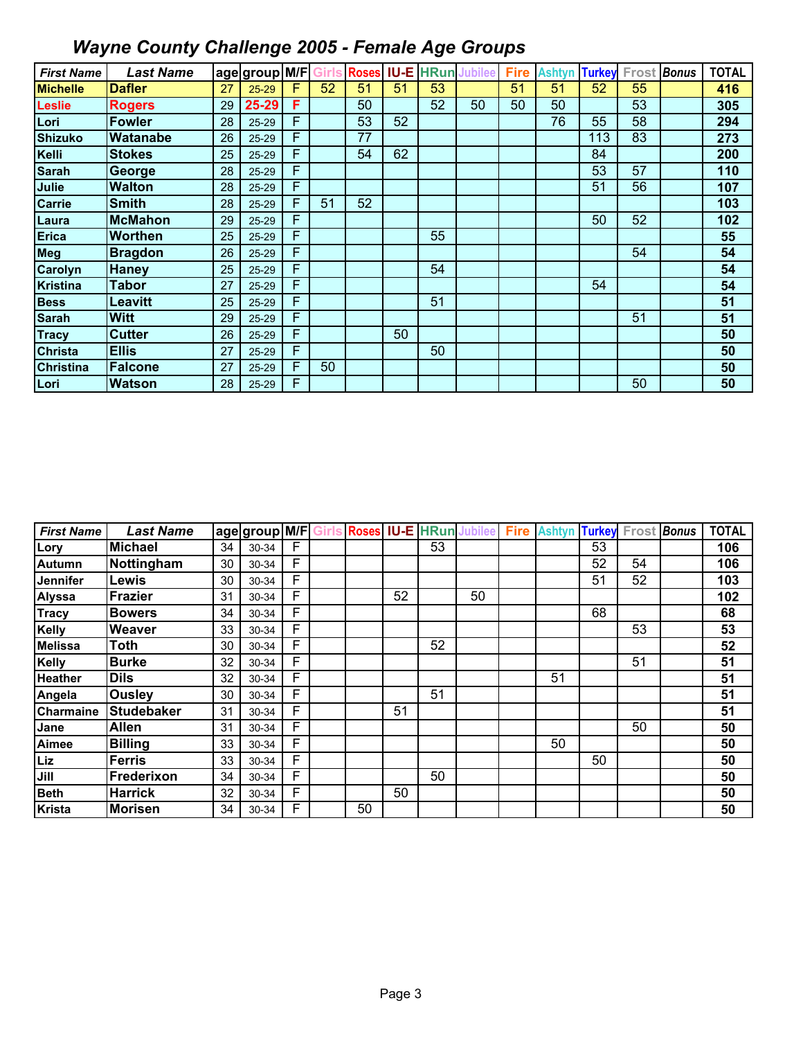| <b>First Name</b> | <b>Last Name</b> |    | age group M/F Girls |   |    | Roses |    |    | <b>IU-E HRun Jubilee</b> | <b>Fire</b> | <b>Ashtyn</b> | <b>Turkey</b> | Frost Bonus | <b>TOTAL</b> |
|-------------------|------------------|----|---------------------|---|----|-------|----|----|--------------------------|-------------|---------------|---------------|-------------|--------------|
| <b>Michelle</b>   | <b>Dafler</b>    | 27 | $25 - 29$           | F | 52 | 51    | 51 | 53 |                          | 51          | 51            | 52            | 55          | 416          |
| Leslie            | <b>Rogers</b>    | 29 | 25-29               | F |    | 50    |    | 52 | 50                       | 50          | 50            |               | 53          | 305          |
| Lori              | <b>Fowler</b>    | 28 | $25 - 29$           | F |    | 53    | 52 |    |                          |             | 76            | 55            | 58          | 294          |
| <b>Shizuko</b>    | <b>Watanabe</b>  | 26 | 25-29               | F |    | 77    |    |    |                          |             |               | 113           | 83          | 273          |
| Kelli             | <b>Stokes</b>    | 25 | $25 - 29$           | F |    | 54    | 62 |    |                          |             |               | 84            |             | 200          |
| <b>Sarah</b>      | George           | 28 | 25-29               | F |    |       |    |    |                          |             |               | 53            | 57          | 110          |
| Julie             | <b>Walton</b>    | 28 | 25-29               | F |    |       |    |    |                          |             |               | 51            | 56          | 107          |
| <b>Carrie</b>     | <b>Smith</b>     | 28 | $25 - 29$           | F | 51 | 52    |    |    |                          |             |               |               |             | 103          |
| Laura             | <b>McMahon</b>   | 29 | 25-29               | F |    |       |    |    |                          |             |               | 50            | 52          | 102          |
| <b>Erica</b>      | <b>Worthen</b>   | 25 | 25-29               | F |    |       |    | 55 |                          |             |               |               |             | 55           |
| <b>Meg</b>        | <b>Bragdon</b>   | 26 | $25-29$             | F |    |       |    |    |                          |             |               |               | 54          | 54           |
| Carolyn           | <b>Haney</b>     | 25 | $25 - 29$           | F |    |       |    | 54 |                          |             |               |               |             | 54           |
| <b>Kristina</b>   | <b>Tabor</b>     | 27 | 25-29               | F |    |       |    |    |                          |             |               | 54            |             | 54           |
| <b>Bess</b>       | Leavitt          | 25 | 25-29               | F |    |       |    | 51 |                          |             |               |               |             | 51           |
| <b>Sarah</b>      | <b>Witt</b>      | 29 | $25 - 29$           | F |    |       |    |    |                          |             |               |               | 51          | 51           |
| Tracy             | <b>Cutter</b>    | 26 | $25 - 29$           | F |    |       | 50 |    |                          |             |               |               |             | 50           |
| <b>Christa</b>    | <b>Ellis</b>     | 27 | 25-29               | F |    |       |    | 50 |                          |             |               |               |             | 50           |
| <b>Christina</b>  | <b>Falcone</b>   | 27 | 25-29               | F | 50 |       |    |    |                          |             |               |               |             | 50           |
| Lori              | <b>Watson</b>    | 28 | $25-29$             | F |    |       |    |    |                          |             |               |               | 50          | 50           |

| <b>First Name</b> | <b>Last Name</b>  |    | age group M/F |   |    |    |    | <b>Roses IU-E HRun Jubilee</b> | <b>Fire Ashtyn</b> |    | <b>Turkey Frost Bonus</b> | <b>TOTAL</b> |
|-------------------|-------------------|----|---------------|---|----|----|----|--------------------------------|--------------------|----|---------------------------|--------------|
| Lory              | <b>Michael</b>    | 34 | 30-34         | F |    |    | 53 |                                |                    | 53 |                           | 106          |
| <b>Autumn</b>     | Nottingham        | 30 | 30-34         | F |    |    |    |                                |                    | 52 | 54                        | 106          |
| <b>Jennifer</b>   | Lewis             | 30 | 30-34         | F |    |    |    |                                |                    | 51 | 52                        | 103          |
| <b>Alyssa</b>     | Frazier           | 31 | 30-34         | F |    | 52 |    | 50                             |                    |    |                           | 102          |
| <b>Tracy</b>      | <b>Bowers</b>     | 34 | 30-34         | F |    |    |    |                                |                    | 68 |                           | 68           |
| Kelly             | <b>Weaver</b>     | 33 | 30-34         | F |    |    |    |                                |                    |    | 53                        | 53           |
| <b>Melissa</b>    | <b>Toth</b>       | 30 | 30-34         | F |    |    | 52 |                                |                    |    |                           | 52           |
| <b>Kelly</b>      | <b>Burke</b>      | 32 | 30-34         | F |    |    |    |                                |                    |    | 51                        | 51           |
| <b>Heather</b>    | <b>Dils</b>       | 32 | $30 - 34$     | F |    |    |    |                                | 51                 |    |                           | 51           |
| Angela            | <b>Ousley</b>     | 30 | 30-34         | F |    |    | 51 |                                |                    |    |                           | 51           |
| <b>Charmaine</b>  | <b>Studebaker</b> | 31 | 30-34         | F |    | 51 |    |                                |                    |    |                           | 51           |
| Jane              | <b>Allen</b>      | 31 | 30-34         | F |    |    |    |                                |                    |    | 50                        | 50           |
| Aimee             | <b>Billing</b>    | 33 | 30-34         | F |    |    |    |                                | 50                 |    |                           | 50           |
| Liz               | <b>Ferris</b>     | 33 | 30-34         | F |    |    |    |                                |                    | 50 |                           | 50           |
| Jill              | Frederixon        | 34 | 30-34         | F |    |    | 50 |                                |                    |    |                           | 50           |
| <b>Beth</b>       | <b>Harrick</b>    | 32 | 30-34         | F |    | 50 |    |                                |                    |    |                           | 50           |
| <b>Krista</b>     | <b>Morisen</b>    | 34 | $30 - 34$     | F | 50 |    |    |                                |                    |    |                           | 50           |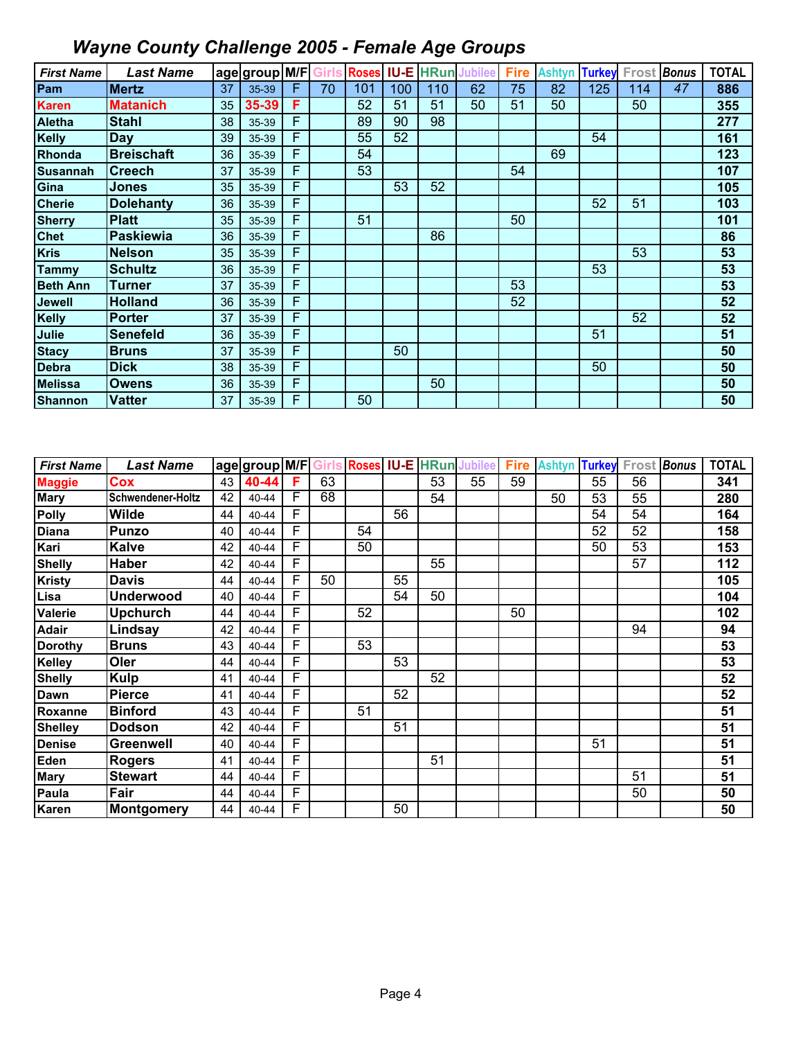| <b>First Name</b> | <b>Last Name</b>  |    | age group M/F Girls |   |    |     |     |     | <b>Roses IU-E HRun Jubilee</b> | <b>Fire</b> | <b>Ashtyn</b> | <b>Turkey</b> | Frost Bonus |    | <b>TOTAL</b> |
|-------------------|-------------------|----|---------------------|---|----|-----|-----|-----|--------------------------------|-------------|---------------|---------------|-------------|----|--------------|
| Pam               | <b>Mertz</b>      | 37 | 35-39               | F | 70 | 101 | 100 | 110 | 62                             | 75          | 82            | 125           | 114         | 47 | 886          |
| Karen             | <b>Matanich</b>   | 35 | 35-39               | F |    | 52  | 51  | 51  | 50                             | 51          | 50            |               | 50          |    | 355          |
| <b>Aletha</b>     | <b>Stahl</b>      | 38 | 35-39               | F |    | 89  | 90  | 98  |                                |             |               |               |             |    | 277          |
| <b>Kelly</b>      | Day               | 39 | 35-39               | F |    | 55  | 52  |     |                                |             |               | 54            |             |    | 161          |
| <b>Rhonda</b>     | <b>Breischaft</b> | 36 | 35-39               | F |    | 54  |     |     |                                |             | 69            |               |             |    | 123          |
| <b>Susannah</b>   | <b>Creech</b>     | 37 | 35-39               | F |    | 53  |     |     |                                | 54          |               |               |             |    | 107          |
| Gina              | <b>Jones</b>      | 35 | 35-39               | F |    |     | 53  | 52  |                                |             |               |               |             |    | 105          |
| <b>Cherie</b>     | <b>Dolehanty</b>  | 36 | 35-39               | F |    |     |     |     |                                |             |               | 52            | 51          |    | 103          |
| <b>Sherry</b>     | <b>Platt</b>      | 35 | 35-39               | F |    | 51  |     |     |                                | 50          |               |               |             |    | 101          |
| <b>Chet</b>       | <b>Paskiewia</b>  | 36 | 35-39               | F |    |     |     | 86  |                                |             |               |               |             |    | 86           |
| <b>Kris</b>       | <b>Nelson</b>     | 35 | 35-39               | F |    |     |     |     |                                |             |               |               | 53          |    | 53           |
| <b>Tammy</b>      | <b>Schultz</b>    | 36 | 35-39               | F |    |     |     |     |                                |             |               | 53            |             |    | 53           |
| <b>Beth Ann</b>   | <b>Turner</b>     | 37 | 35-39               | F |    |     |     |     |                                | 53          |               |               |             |    | 53           |
| <b>Jewell</b>     | <b>Holland</b>    | 36 | 35-39               | F |    |     |     |     |                                | 52          |               |               |             |    | 52           |
| <b>Kelly</b>      | <b>Porter</b>     | 37 | 35-39               | F |    |     |     |     |                                |             |               |               | 52          |    | 52           |
| Julie             | <b>Senefeld</b>   | 36 | 35-39               | F |    |     |     |     |                                |             |               | 51            |             |    | 51           |
| <b>Stacy</b>      | <b>Bruns</b>      | 37 | 35-39               | F |    |     | 50  |     |                                |             |               |               |             |    | 50           |
| <b>Debra</b>      | <b>Dick</b>       | 38 | 35-39               | F |    |     |     |     |                                |             |               | 50            |             |    | 50           |
| <b>Melissa</b>    | <b>Owens</b>      | 36 | 35-39               | F |    |     |     | 50  |                                |             |               |               |             |    | 50           |
| <b>Shannon</b>    | <b>Vatter</b>     | 37 | 35-39               | F |    | 50  |     |     |                                |             |               |               |             |    | 50           |

| <b>First Name</b> | <b>Last Name</b>  |    | age group M/F Girls |   |    |    |    |    | <b>Roses IU-E HRun Jubilee</b> | <b>Fire</b> | <b>Ashtyn</b> |    | <b>Turkey Frost Bonus</b> | <b>TOTAL</b> |
|-------------------|-------------------|----|---------------------|---|----|----|----|----|--------------------------------|-------------|---------------|----|---------------------------|--------------|
| <b>Maggie</b>     | Cox               | 43 | 40-44               | F | 63 |    |    | 53 | 55                             | 59          |               | 55 | 56                        | 341          |
| <b>Mary</b>       | Schwendener-Holtz | 42 | $40 - 44$           | F | 68 |    |    | 54 |                                |             | 50            | 53 | 55                        | 280          |
| <b>Polly</b>      | Wilde             | 44 | 40-44               | F |    |    | 56 |    |                                |             |               | 54 | 54                        | 164          |
| Diana             | <b>Punzo</b>      | 40 | 40-44               | F |    | 54 |    |    |                                |             |               | 52 | 52                        | 158          |
| Kari              | Kalve             | 42 | 40-44               | F |    | 50 |    |    |                                |             |               | 50 | 53                        | 153          |
| <b>Shelly</b>     | <b>Haber</b>      | 42 | 40-44               | F |    |    |    | 55 |                                |             |               |    | 57                        | 112          |
| <b>Kristy</b>     | <b>Davis</b>      | 44 | 40-44               | F | 50 |    | 55 |    |                                |             |               |    |                           | 105          |
| Lisa              | <b>Underwood</b>  | 40 | 40-44               | F |    |    | 54 | 50 |                                |             |               |    |                           | 104          |
| Valerie           | <b>Upchurch</b>   | 44 | $40 - 44$           | F |    | 52 |    |    |                                | 50          |               |    |                           | 102          |
| Adair             | Lindsay           | 42 | 40-44               | F |    |    |    |    |                                |             |               |    | 94                        | 94           |
| <b>Dorothy</b>    | <b>Bruns</b>      | 43 | 40-44               | F |    | 53 |    |    |                                |             |               |    |                           | 53           |
| <b>Kelley</b>     | Oler              | 44 | 40-44               | F |    |    | 53 |    |                                |             |               |    |                           | 53           |
| <b>Shelly</b>     | <b>Kulp</b>       | 41 | 40-44               | F |    |    |    | 52 |                                |             |               |    |                           | 52           |
| Dawn              | Pierce            | 41 | 40-44               | F |    |    | 52 |    |                                |             |               |    |                           | 52           |
| Roxanne           | <b>Binford</b>    | 43 | 40-44               | F |    | 51 |    |    |                                |             |               |    |                           | 51           |
| <b>Shelley</b>    | <b>Dodson</b>     | 42 | 40-44               | F |    |    | 51 |    |                                |             |               |    |                           | 51           |
| Denise            | Greenwell         | 40 | 40-44               | F |    |    |    |    |                                |             |               | 51 |                           | 51           |
| Eden              | <b>Rogers</b>     | 41 | 40-44               | F |    |    |    | 51 |                                |             |               |    |                           | 51           |
| <b>Mary</b>       | <b>Stewart</b>    | 44 | 40-44               | F |    |    |    |    |                                |             |               |    | 51                        | 51           |
| Paula             | Fair              | 44 | 40-44               | F |    |    |    |    |                                |             |               |    | 50                        | 50           |
| Karen             | Montgomery        | 44 | 40-44               | F |    |    | 50 |    |                                |             |               |    |                           | 50           |